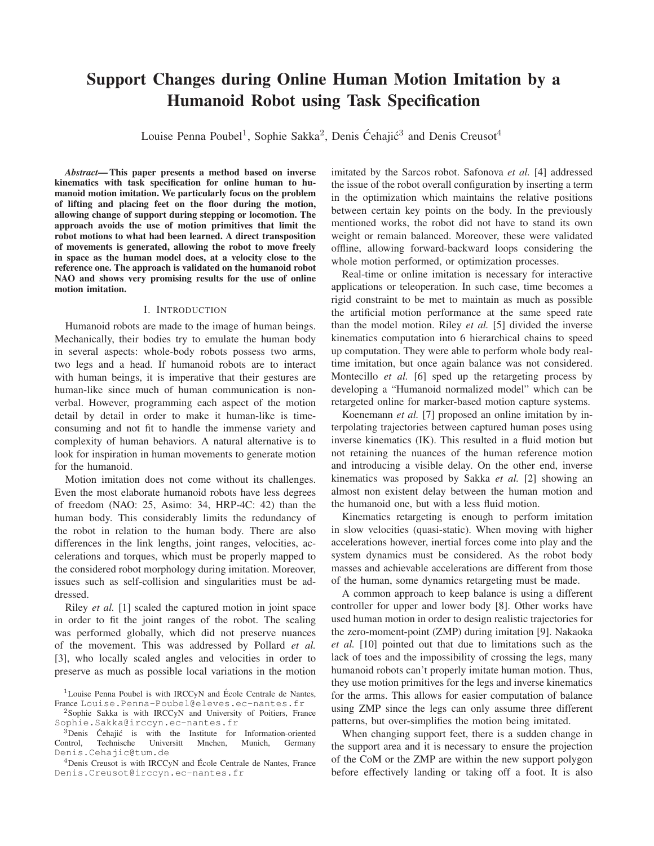# Support Changes during Online Human Motion Imitation by a **Humanoid Robot using Task Specification**

Louise Penna Poubel<sup>1</sup>, Sophie Sakka<sup>2</sup>, Denis Ćehajić<sup>3</sup> and Denis Creusot<sup>4</sup>

Abstract—This paper presents a method based on inverse kinematics with task specification for online human to humanoid motion imitation. We particularly focus on the problem of lifting and placing feet on the floor during the motion, allowing change of support during stepping or locomotion. The approach avoids the use of motion primitives that limit the robot motions to what had been learned. A direct transposition of movements is generated, allowing the robot to move freely in space as the human model does, at a velocity close to the reference one. The approach is validated on the humanoid robot NAO and shows very promising results for the use of online motion imitation.

## I. INTRODUCTION

Humanoid robots are made to the image of human beings. Mechanically, their bodies try to emulate the human body in several aspects: whole-body robots possess two arms, two legs and a head. If humanoid robots are to interact with human beings, it is imperative that their gestures are human-like since much of human communication is nonverbal. However, programming each aspect of the motion detail by detail in order to make it human-like is timeconsuming and not fit to handle the immense variety and complexity of human behaviors. A natural alternative is to look for inspiration in human movements to generate motion for the humanoid.

Motion imitation does not come without its challenges. Even the most elaborate humanoid robots have less degrees of freedom (NAO: 25, Asimo: 34, HRP-4C: 42) than the human body. This considerably limits the redundancy of the robot in relation to the human body. There are also differences in the link lengths, joint ranges, velocities, accelerations and torques, which must be properly mapped to the considered robot morphology during imitation. Moreover, issues such as self-collision and singularities must be addressed.

Riley et al. [1] scaled the captured motion in joint space in order to fit the joint ranges of the robot. The scaling was performed globally, which did not preserve nuances of the movement. This was addressed by Pollard et al. [3], who locally scaled angles and velocities in order to preserve as much as possible local variations in the motion

<sup>3</sup>Denis Ćehajić is with the Institute for Information-oriented Control, Technische Universitt Mnchen. Munich. Germany Denis.Cehajic@tum.de

imitated by the Sarcos robot. Safonova et al. [4] addressed the issue of the robot overall configuration by inserting a term in the optimization which maintains the relative positions between certain key points on the body. In the previously mentioned works, the robot did not have to stand its own weight or remain balanced. Moreover, these were validated offline, allowing forward-backward loops considering the whole motion performed, or optimization processes.

Real-time or online imitation is necessary for interactive applications or teleoperation. In such case, time becomes a rigid constraint to be met to maintain as much as possible the artificial motion performance at the same speed rate than the model motion. Riley et al. [5] divided the inverse kinematics computation into 6 hierarchical chains to speed up computation. They were able to perform whole body realtime imitation, but once again balance was not considered. Montecillo et al. [6] sped up the retargeting process by developing a "Humanoid normalized model" which can be retargeted online for marker-based motion capture systems.

Koenemann et al. [7] proposed an online imitation by interpolating trajectories between captured human poses using inverse kinematics (IK). This resulted in a fluid motion but not retaining the nuances of the human reference motion and introducing a visible delay. On the other end, inverse kinematics was proposed by Sakka et al. [2] showing an almost non existent delay between the human motion and the humanoid one, but with a less fluid motion.

Kinematics retargeting is enough to perform imitation in slow velocities (quasi-static). When moving with higher accelerations however, inertial forces come into play and the system dynamics must be considered. As the robot body masses and achievable accelerations are different from those of the human, some dynamics retargeting must be made.

A common approach to keep balance is using a different controller for upper and lower body [8]. Other works have used human motion in order to design realistic trajectories for the zero-moment-point (ZMP) during imitation [9]. Nakaoka et al. [10] pointed out that due to limitations such as the lack of toes and the impossibility of crossing the legs, many humanoid robots can't properly imitate human motion. Thus, they use motion primitives for the legs and inverse kinematics for the arms. This allows for easier computation of balance using ZMP since the legs can only assume three different patterns, but over-simplifies the motion being imitated.

When changing support feet, there is a sudden change in the support area and it is necessary to ensure the projection of the CoM or the ZMP are within the new support polygon before effectively landing or taking off a foot. It is also

<sup>&</sup>lt;sup>1</sup>Louise Penna Poubel is with IRCCyN and École Centrale de Nantes, France Louise. Penna-Poubel@eleves.ec-nantes.fr

<sup>&</sup>lt;sup>2</sup>Sophie Sakka is with IRCCyN and University of Poitiers, France Sophie.Sakka@irccyn.ec-nantes.fr

<sup>&</sup>lt;sup>4</sup>Denis Creusot is with IRCCyN and École Centrale de Nantes, France Denis.Creusot@irccyn.ec-nantes.fr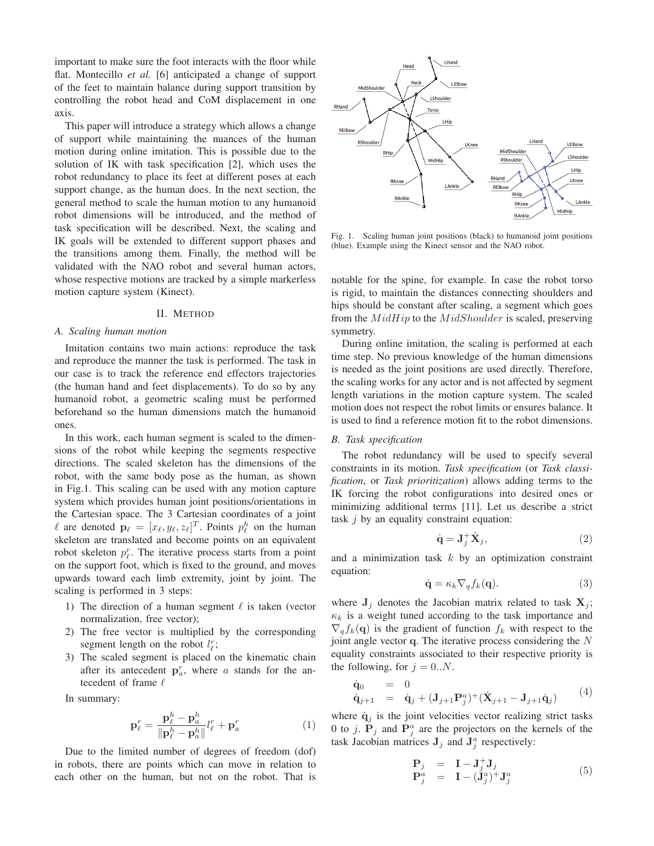important to make sure the foot interacts with the floor while flat. Montecillo et al. [6] anticipated a change of support of the feet to maintain balance during support transition by controlling the robot head and CoM displacement in one axis.

This paper will introduce a strategy which allows a change of support while maintaining the nuances of the human motion during online imitation. This is possible due to the solution of IK with task specification [2], which uses the robot redundancy to place its feet at different poses at each support change, as the human does. In the next section, the general method to scale the human motion to any humanoid robot dimensions will be introduced, and the method of task specification will be described. Next, the scaling and IK goals will be extended to different support phases and the transitions among them. Finally, the method will be validated with the NAO robot and several human actors, whose respective motions are tracked by a simple markerless motion capture system (Kinect).

## II. METHOD

#### A. Scaling human motion

Imitation contains two main actions: reproduce the task and reproduce the manner the task is performed. The task in our case is to track the reference end effectors trajectories (the human hand and feet displacements). To do so by any humanoid robot, a geometric scaling must be performed beforehand so the human dimensions match the humanoid ones.

In this work, each human segment is scaled to the dimensions of the robot while keeping the segments respective directions. The scaled skeleton has the dimensions of the robot, with the same body pose as the human, as shown in Fig.1. This scaling can be used with any motion capture system which provides human joint positions/orientations in the Cartesian space. The 3 Cartesian coordinates of a joint  $\ell$  are denoted  $\mathbf{p}_{\ell} = [x_{\ell}, y_{\ell}, z_{\ell}]^T$ . Points  $p_{\ell}^h$  on the human skeleton are translated and become points on an equivalent robot skeleton  $p_{\ell}^{r}$ . The iterative process starts from a point on the support foot, which is fixed to the ground, and moves upwards toward each limb extremity, joint by joint. The scaling is performed in 3 steps:

- 1) The direction of a human segment  $\ell$  is taken (vector normalization, free vector);
- 2) The free vector is multiplied by the corresponding segment length on the robot  $l_i^r$ ;
- 3) The scaled segment is placed on the kinematic chain after its antecedent  $p_a^r$ , where a stands for the antecedent of frame  $\ell$

In summary:

$$
\mathbf{p}_{\ell}^{r} = \frac{\mathbf{p}_{\ell}^{h} - \mathbf{p}_{a}^{h}}{\|\mathbf{p}_{\ell}^{h} - \mathbf{p}_{a}^{h}\|} l_{\ell}^{r} + \mathbf{p}_{a}^{r}
$$
(1)

Due to the limited number of degrees of freedom (dof) in robots, there are points which can move in relation to each other on the human, but not on the robot. That is



Fig. 1. Scaling human joint positions (black) to humanoid joint positions (blue). Example using the Kinect sensor and the NAO robot.

notable for the spine, for example. In case the robot torso is rigid, to maintain the distances connecting shoulders and hips should be constant after scaling, a segment which goes from the  $MidHip$  to the  $MidShoulder$  is scaled, preserving symmetry.

During online imitation, the scaling is performed at each time step. No previous knowledge of the human dimensions is needed as the joint positions are used directly. Therefore, the scaling works for any actor and is not affected by segment length variations in the motion capture system. The scaled motion does not respect the robot limits or ensures balance. It is used to find a reference motion fit to the robot dimensions.

# **B.** Task specification

The robot redundancy will be used to specify several constraints in its motion. Task specification (or Task classification, or Task prioritization) allows adding terms to the IK forcing the robot configurations into desired ones or minimizing additional terms [11]. Let us describe a strict task  $j$  by an equality constraint equation:

$$
\dot{\mathbf{q}} = \mathbf{J}_i^+ \mathbf{X}_j,\tag{2}
$$

and a minimization task  $k$  by an optimization constraint equation:

$$
\dot{\mathbf{q}} = \kappa_k \nabla_q f_k(\mathbf{q}).\tag{3}
$$

where  $J_j$  denotes the Jacobian matrix related to task  $X_j$ ;  $\kappa_k$  is a weight tuned according to the task importance and  $\nabla_q f_k(\mathbf{q})$  is the gradient of function  $f_k$  with respect to the joint angle vector  $q$ . The iterative process considering the  $N$ equality constraints associated to their respective priority is the following, for  $j = 0..N$ .

$$
\dot{\mathbf{q}}_{0} = 0 \n\dot{\mathbf{q}}_{j+1} = \dot{\mathbf{q}}_{j} + (\mathbf{J}_{j+1} \mathbf{P}_{j}^{a})^{+} (\dot{\mathbf{X}}_{j+1} - \mathbf{J}_{j+1} \dot{\mathbf{q}}_{j})
$$
\n(4)

where  $\dot{\mathbf{q}}_j$  is the joint velocities vector realizing strict tasks 0 to j.  $P_j$  and  $P_j^a$  are the projectors on the kernels of the task Jacobian matrices  $J_j$  and  $J_j^a$  respectively:

$$
\begin{array}{rcl}\n\mathbf{P}_j & = & \mathbf{I} - \mathbf{J}_j^+ \mathbf{J}_j \\
\mathbf{P}_j^a & = & \mathbf{I} - (\mathbf{J}_j^a)^+ \mathbf{J}_j^a\n\end{array} \tag{5}
$$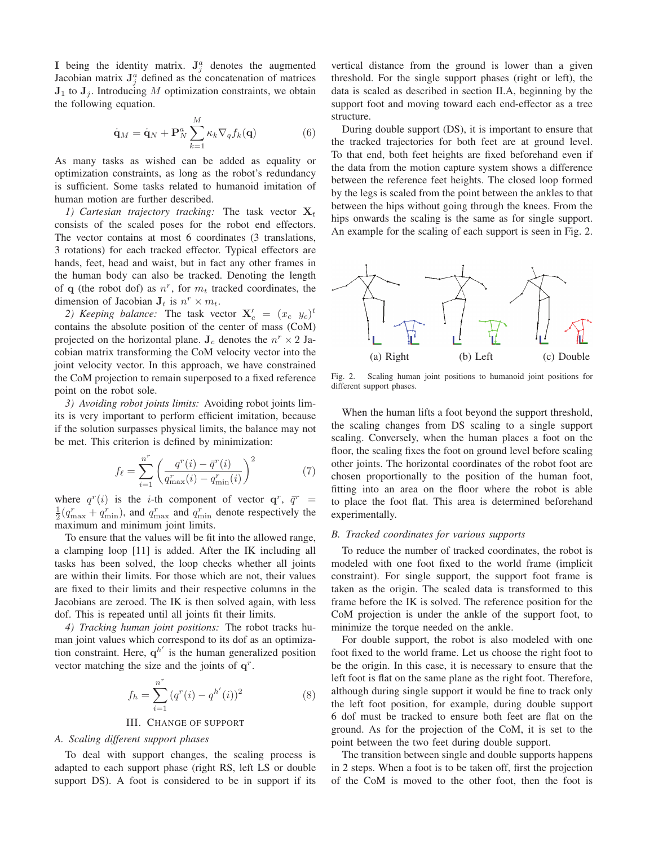I being the identity matrix.  $J_i^a$  denotes the augmented Jacobian matrix  $J_i^a$  defined as the concatenation of matrices  $J_1$  to  $J_j$ . Introducing M optimization constraints, we obtain the following equation.

$$
\dot{\mathbf{q}}_{M} = \dot{\mathbf{q}}_{N} + \mathbf{P}_{N}^{a} \sum_{k=1}^{M} \kappa_{k} \nabla_{q} f_{k}(\mathbf{q}) \tag{6}
$$

As many tasks as wished can be added as equality or optimization constraints, as long as the robot's redundancy is sufficient. Some tasks related to humanoid imitation of human motion are further described.

1) Cartesian trajectory tracking: The task vector  $X_t$ consists of the scaled poses for the robot end effectors. The vector contains at most 6 coordinates (3 translations, 3 rotations) for each tracked effector. Typical effectors are hands, feet, head and waist, but in fact any other frames in the human body can also be tracked. Denoting the length of q (the robot dof) as  $n^r$ , for  $m_t$  tracked coordinates, the dimension of Jacobian  $J_t$  is  $n^r \times m_t$ .

2) Keeping balance: The task vector  $X'_c = (x_c, y_c)^t$ contains the absolute position of the center of mass (CoM) projected on the horizontal plane. J<sub>c</sub> denotes the  $n^r \times 2$  Jacobian matrix transforming the CoM velocity vector into the joint velocity vector. In this approach, we have constrained the CoM projection to remain superposed to a fixed reference point on the robot sole.

3) Avoiding robot joints limits: Avoiding robot joints limits is very important to perform efficient imitation, because if the solution surpasses physical limits, the balance may not be met. This criterion is defined by minimization:

$$
f_{\ell} = \sum_{i=1}^{n^{r}} \left( \frac{q^{r}(i) - \bar{q}^{r}(i)}{q_{\text{max}}^{r}(i) - q_{\text{min}}^{r}(i)} \right)^{2}
$$
(7)

where  $q^{r}(i)$  is the *i*-th component of vector  $q^{r}$ ,  $\bar{q}^{r}$  =  $\frac{1}{2}(q_{\text{max}}^r + q_{\text{min}}^r)$ , and  $q_{\text{max}}^r$  and  $q_{\text{min}}^r$  denote respectively the maximum and minimum joint limits.

To ensure that the values will be fit into the allowed range, a clamping loop [11] is added. After the IK including all tasks has been solved, the loop checks whether all joints are within their limits. For those which are not, their values are fixed to their limits and their respective columns in the Jacobians are zeroed. The IK is then solved again, with less dof. This is repeated until all joints fit their limits.

4) Tracking human joint positions: The robot tracks human joint values which correspond to its dof as an optimization constraint. Here,  $q^{h'}$  is the human generalized position vector matching the size and the joints of  $q<sup>r</sup>$ .

$$
f_h = \sum_{i=1}^{n^r} (q^r(i) - q^{h'}(i))^2
$$
 (8)

**III. CHANGE OF SUPPORT** 

# A. Scaling different support phases

To deal with support changes, the scaling process is adapted to each support phase (right RS, left LS or double support DS). A foot is considered to be in support if its

vertical distance from the ground is lower than a given threshold. For the single support phases (right or left), the data is scaled as described in section II.A, beginning by the support foot and moving toward each end-effector as a tree structure.

During double support (DS), it is important to ensure that the tracked trajectories for both feet are at ground level. To that end, both feet heights are fixed beforehand even if the data from the motion capture system shows a difference between the reference feet heights. The closed loop formed by the legs is scaled from the point between the ankles to that between the hips without going through the knees. From the hips onwards the scaling is the same as for single support. An example for the scaling of each support is seen in Fig. 2.



Scaling human joint positions to humanoid joint positions for Fig.  $2$ . different support phases.

When the human lifts a foot beyond the support threshold, the scaling changes from DS scaling to a single support scaling. Conversely, when the human places a foot on the floor, the scaling fixes the foot on ground level before scaling other joints. The horizontal coordinates of the robot foot are chosen proportionally to the position of the human foot, fitting into an area on the floor where the robot is able to place the foot flat. This area is determined beforehand experimentally.

#### B. Tracked coordinates for various supports

To reduce the number of tracked coordinates, the robot is modeled with one foot fixed to the world frame (implicit constraint). For single support, the support foot frame is taken as the origin. The scaled data is transformed to this frame before the IK is solved. The reference position for the CoM projection is under the ankle of the support foot, to minimize the torque needed on the ankle.

For double support, the robot is also modeled with one foot fixed to the world frame. Let us choose the right foot to be the origin. In this case, it is necessary to ensure that the left foot is flat on the same plane as the right foot. Therefore, although during single support it would be fine to track only the left foot position, for example, during double support 6 dof must be tracked to ensure both feet are flat on the ground. As for the projection of the CoM, it is set to the point between the two feet during double support.

The transition between single and double supports happens in 2 steps. When a foot is to be taken off, first the projection of the CoM is moved to the other foot, then the foot is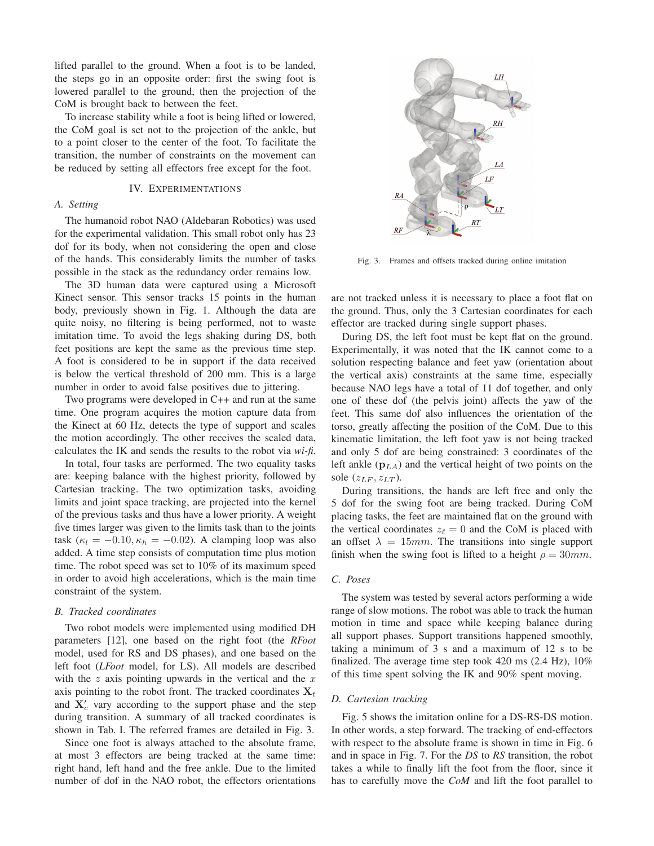lifted parallel to the ground. When a foot is to be landed, the steps go in an opposite order: first the swing foot is lowered parallel to the ground, then the projection of the CoM is brought back to between the feet.

To increase stability while a foot is being lifted or lowered, the CoM goal is set not to the projection of the ankle, but to a point closer to the center of the foot. To facilitate the transition, the number of constraints on the movement can be reduced by setting all effectors free except for the foot.

## IV. EXPERIMENTATIONS

#### A. Setting

The humanoid robot NAO (Aldebaran Robotics) was used for the experimental validation. This small robot only has 23 dof for its body, when not considering the open and close of the hands. This considerably limits the number of tasks possible in the stack as the redundancy order remains low.

The 3D human data were captured using a Microsoft Kinect sensor. This sensor tracks 15 points in the human body, previously shown in Fig. 1. Although the data are quite noisy, no filtering is being performed, not to waste imitation time. To avoid the legs shaking during DS, both feet positions are kept the same as the previous time step. A foot is considered to be in support if the data received is below the vertical threshold of 200 mm. This is a large number in order to avoid false positives due to jittering.

Two programs were developed in  $C++$  and run at the same time. One program acquires the motion capture data from the Kinect at 60 Hz, detects the type of support and scales the motion accordingly. The other receives the scaled data, calculates the IK and sends the results to the robot via  $wi$ -fi.

In total, four tasks are performed. The two equality tasks are: keeping balance with the highest priority, followed by Cartesian tracking. The two optimization tasks, avoiding limits and joint space tracking, are projected into the kernel of the previous tasks and thus have a lower priority. A weight five times larger was given to the limits task than to the joints task ( $\kappa_l = -0.10, \kappa_h = -0.02$ ). A clamping loop was also added. A time step consists of computation time plus motion time. The robot speed was set to  $10\%$  of its maximum speed in order to avoid high accelerations, which is the main time constraint of the system.

# **B.** Tracked coordinates

Two robot models were implemented using modified DH parameters [12], one based on the right foot (the RFoot model, used for RS and DS phases), and one based on the left foot (LFoot model, for LS). All models are described with the  $z$  axis pointing upwards in the vertical and the  $x$ axis pointing to the robot front. The tracked coordinates  $X_t$ and  $X'_c$  vary according to the support phase and the step during transition. A summary of all tracked coordinates is shown in Tab. I. The referred frames are detailed in Fig. 3.

Since one foot is always attached to the absolute frame, at most 3 effectors are being tracked at the same time: right hand, left hand and the free ankle. Due to the limited number of dof in the NAO robot, the effectors orientations



Fig. 3. Frames and offsets tracked during online imitation

are not tracked unless it is necessary to place a foot flat on the ground. Thus, only the 3 Cartesian coordinates for each effector are tracked during single support phases.

During DS, the left foot must be kept flat on the ground. Experimentally, it was noted that the IK cannot come to a solution respecting balance and feet yaw (orientation about the vertical axis) constraints at the same time, especially because NAO legs have a total of 11 dof together, and only one of these dof (the pelvis joint) affects the yaw of the feet. This same dof also influences the orientation of the torso, greatly affecting the position of the CoM. Due to this kinematic limitation, the left foot yaw is not being tracked and only 5 dof are being constrained: 3 coordinates of the left ankle  $(p_{LA})$  and the vertical height of two points on the sole  $(z_{LF}, z_{LT})$ .

During transitions, the hands are left free and only the 5 dof for the swing foot are being tracked. During CoM placing tasks, the feet are maintained flat on the ground with the vertical coordinates  $z_{\ell} = 0$  and the CoM is placed with an offset  $\lambda = 15mm$ . The transitions into single support finish when the swing foot is lifted to a height  $\rho = 30 mm$ .

# C. Poses

The system was tested by several actors performing a wide range of slow motions. The robot was able to track the human motion in time and space while keeping balance during all support phases. Support transitions happened smoothly, taking a minimum of 3 s and a maximum of 12 s to be finalized. The average time step took 420 ms  $(2.4 \text{ Hz})$ , 10% of this time spent solving the IK and 90% spent moving.

## D. Cartesian tracking

Fig. 5 shows the imitation online for a DS-RS-DS motion. In other words, a step forward. The tracking of end-effectors with respect to the absolute frame is shown in time in Fig. 6 and in space in Fig. 7. For the DS to RS transition, the robot takes a while to finally lift the foot from the floor, since it has to carefully move the CoM and lift the foot parallel to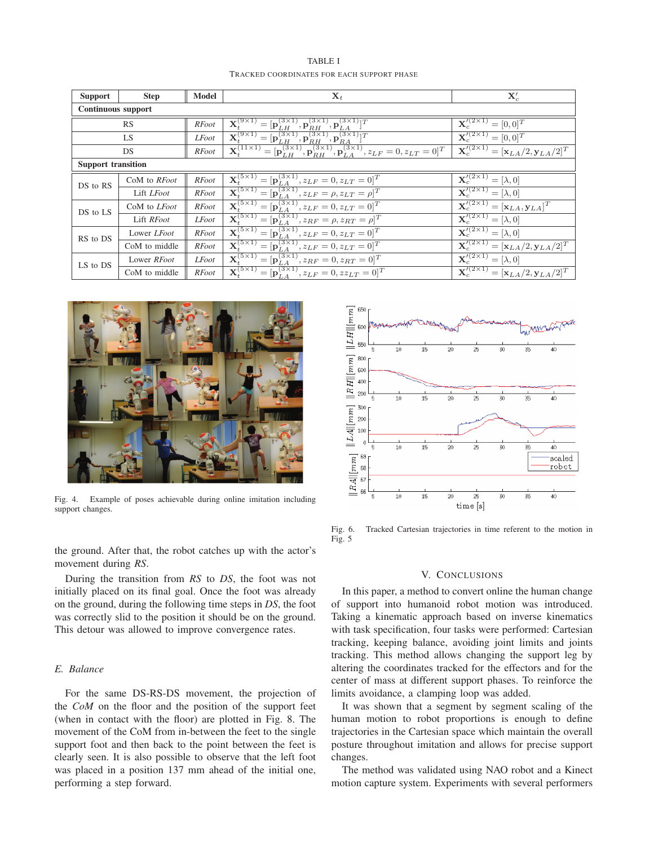**TABLE I** TRACKED COORDINATES FOR EACH SUPPORT PHASE

| <b>Support</b>            | <b>Step</b>   | Model        | $\mathbf{X}_t$                                                                                                                                                                                                                                          | $\mathbf{X}'_c$                                                                 |
|---------------------------|---------------|--------------|---------------------------------------------------------------------------------------------------------------------------------------------------------------------------------------------------------------------------------------------------------|---------------------------------------------------------------------------------|
| <b>Continuous support</b> |               |              |                                                                                                                                                                                                                                                         |                                                                                 |
| RS                        |               | <b>RFoot</b> | $\mathbf{X}_t^{(9\times1)}$<br>$(3\times1)_{1}T$<br>$3\times1$<br>(3×1)<br>$=$ $ {\bf p}^{\scriptscriptstyle \vee}_{LH} $<br>, $\mathbf{p}_{RH}$<br>$\cdot \mathbf{p}_{\underline{L}^{\mathcal{A}}}$                                                    | ${\bf X}'_c^{(2\times 1)}=[0,0]^T$                                              |
| LS.                       |               | <i>LFoot</i> | $\sqrt{(3\times1)_1T}$<br>$(3\times1)$<br>$(3\times1)$<br>$\overline{\mathbf{X}_t^{(9\times1)}} = [\mathbf{p}_{LH}^{(3\times1)}$<br>$\mathbf{p}_{RH}^{(\circ\land\ \mathbf{p})},\mathbf{p}_{RA}^{(\circ\land)}$                                         | $\mathbf{X}_c'^{(2\times1)}$<br>$=[0,0]^{T}$                                    |
| DS                        |               | <b>RFoot</b> | $(3\times1)$<br>$(3\times1)$<br>$\mathbf{X}_{t}^{\left(1\overline{1\times1}\right)}$<br>$(3\times1)$<br>$=$ $[{\bf p}_{LH}^{(3)}]$<br>$x_{LF} = 0, z_{LT} = 0$ <sup>T</sup><br>$\mathbf{p}_{RH}^{(\delta\wedge 1)}, \mathbf{p}_{LA}^{(\delta\wedge 1)}$ | $\mathbf{X}_c'^{(2\times1)}$<br>$=[\mathbf{x}_{LA}/2,\mathbf{y}_{LA}/2]^T$      |
| <b>Support transition</b> |               |              |                                                                                                                                                                                                                                                         |                                                                                 |
| DS to RS                  | CoM to RFoot  | <b>RFoot</b> | $\mathbf{X}_{t}^{(5\times1)}=[\mathbf{p}_{LA}^{(3\times1)}, z_{LF}=0, z_{LT}=0]^{T}$                                                                                                                                                                    | $\mathbf{X}_c'^{(2\times1)}$<br>$= [\lambda, 0]$                                |
|                           | Lift LFoot    | <b>RFoot</b> | $\frac{(3\times1)}{L A}, z_{LF} = \rho, z_{LT} = \rho]^T$<br>${\bf X}_t^{(5\times1)}=[{\bf p}_{LA}^{(3\times)}]$                                                                                                                                        | $\overline{\mathbf{X}_c^{\prime(2\times1)}}$<br>$= [\lambda, 0]$                |
| DS to LS                  | CoM to LFoot  | <b>RFoot</b> | $\mathbf{X}_{t}^{(5\times1)}=[\mathbf{p}_{LA}^{(3\times1)},z_{LF}=0,z_{LT}=0]^{T}$                                                                                                                                                                      | $\mathbf{X}_c^{\prime (2\times1)}$<br>$=[\mathbf{x}_{LA}, \mathbf{y}_{LA}]^T$   |
|                           | Lift RFoot    | <i>LFoot</i> | $(3\times1)$<br>$\overline{\mathbf{X}_{t}^{(5\times1)}} = [\mathbf{p}_{LA}^{(3\times}$<br>', $z_{RF} = \rho, z_{RT} = \rho$ <sup>T</sup>                                                                                                                | $\mathbf{X}'^{(2\times1)}$<br>$= [\lambda, 0]$                                  |
| RS to DS                  | Lower LFoot   | <b>RFoot</b> | $\overline{\mathbf{X}_{t}^{(5\times1)}} = [\mathbf{p}_{LA}^{(3\times1)}, z_{LF} = 0, z_{LT} = 0]^T$                                                                                                                                                     | $\overline{\mathbf{X}'^{(2\times1)}}$<br>$= [\lambda, 0]$                       |
|                           | CoM to middle | <b>RFoot</b> | $\mathbf{X}_{t}^{(5\times1)}=[\mathbf{p}_{LA}^{(3\times1)},z_{LF}=0,z_{LT}=0]^{T}$                                                                                                                                                                      | $\mathbf{X}_c^{\prime(2\times1)}$<br>$=[\mathbf{x}_{LA}/2,\mathbf{y}_{LA}/2]^T$ |
| LS to DS                  | Lower RFoot   | <i>LFoot</i> | $\overline{\mathbf{X}_{t}^{(5\times1)}} = [\mathbf{p}_{LA}^{(3\times1)}, z_{RF} = 0, z_{RT} = 0]^T$                                                                                                                                                     | $\overline{\mathbf{X}'^{(2\times 1)}_{c}} = [\lambda, 0]$                       |
|                           | CoM to middle | <b>RFoot</b> | $\mathbf{X}_{t}^{(5\times1)}=[\mathbf{p}_{LA}^{(3\times1)},z_{LF}=0,zz_{LT}=0]^{T}$                                                                                                                                                                     | $\mathbf{X}_c^{\prime(2\times1)}=[\mathbf{x}_{LA}/2,\mathbf{y}_{LA}/2]^T$       |



Fig. 4. Example of poses achievable during online imitation including support changes.

the ground. After that, the robot catches up with the actor's movement during RS.

During the transition from  $RS$  to  $DS$ , the foot was not initially placed on its final goal. Once the foot was already on the ground, during the following time steps in  $DS$ , the foot was correctly slid to the position it should be on the ground. This detour was allowed to improve convergence rates.

# E. Balance

For the same DS-RS-DS movement, the projection of the CoM on the floor and the position of the support feet (when in contact with the floor) are plotted in Fig. 8. The movement of the CoM from in-between the feet to the single support foot and then back to the point between the feet is clearly seen. It is also possible to observe that the left foot was placed in a position 137 mm ahead of the initial one, performing a step forward.



Fig. 6. Tracked Cartesian trajectories in time referent to the motion in Fig. 5

## V. CONCLUSIONS

In this paper, a method to convert online the human change of support into humanoid robot motion was introduced. Taking a kinematic approach based on inverse kinematics with task specification, four tasks were performed: Cartesian tracking, keeping balance, avoiding joint limits and joints tracking. This method allows changing the support leg by altering the coordinates tracked for the effectors and for the center of mass at different support phases. To reinforce the limits avoidance, a clamping loop was added.

It was shown that a segment by segment scaling of the human motion to robot proportions is enough to define trajectories in the Cartesian space which maintain the overall posture throughout imitation and allows for precise support changes.

The method was validated using NAO robot and a Kinect motion capture system. Experiments with several performers